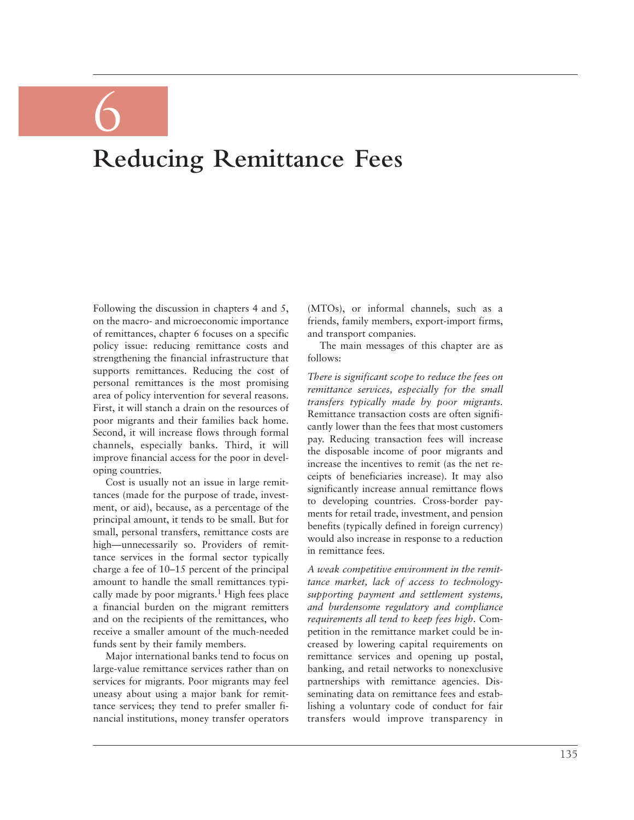6

# **Reducing Remittance Fees**

Following the discussion in chapters 4 and 5, on the macro- and microeconomic importance of remittances, chapter 6 focuses on a specific policy issue: reducing remittance costs and strengthening the financial infrastructure that supports remittances. Reducing the cost of personal remittances is the most promising area of policy intervention for several reasons. First, it will stanch a drain on the resources of poor migrants and their families back home. Second, it will increase flows through formal channels, especially banks. Third, it will improve financial access for the poor in developing countries.

Cost is usually not an issue in large remittances (made for the purpose of trade, investment, or aid), because, as a percentage of the principal amount, it tends to be small. But for small, personal transfers, remittance costs are high—unnecessarily so. Providers of remittance services in the formal sector typically charge a fee of 10–15 percent of the principal amount to handle the small remittances typically made by poor migrants.<sup>1</sup> High fees place a financial burden on the migrant remitters and on the recipients of the remittances, who receive a smaller amount of the much-needed funds sent by their family members.

Major international banks tend to focus on large-value remittance services rather than on services for migrants. Poor migrants may feel uneasy about using a major bank for remittance services; they tend to prefer smaller financial institutions, money transfer operators

(MTOs), or informal channels, such as a friends, family members, export-import firms, and transport companies.

The main messages of this chapter are as follows:

*There is significant scope to reduce the fees on remittance services, especially for the small transfers typically made by poor migrants.* Remittance transaction costs are often significantly lower than the fees that most customers pay. Reducing transaction fees will increase the disposable income of poor migrants and increase the incentives to remit (as the net receipts of beneficiaries increase). It may also significantly increase annual remittance flows to developing countries. Cross-border payments for retail trade, investment, and pension benefits (typically defined in foreign currency) would also increase in response to a reduction in remittance fees.

*A weak competitive environment in the remittance market, lack of access to technologysupporting payment and settlement systems, and burdensome regulatory and compliance requirements all tend to keep fees high.* Competition in the remittance market could be increased by lowering capital requirements on remittance services and opening up postal, banking, and retail networks to nonexclusive partnerships with remittance agencies. Disseminating data on remittance fees and establishing a voluntary code of conduct for fair transfers would improve transparency in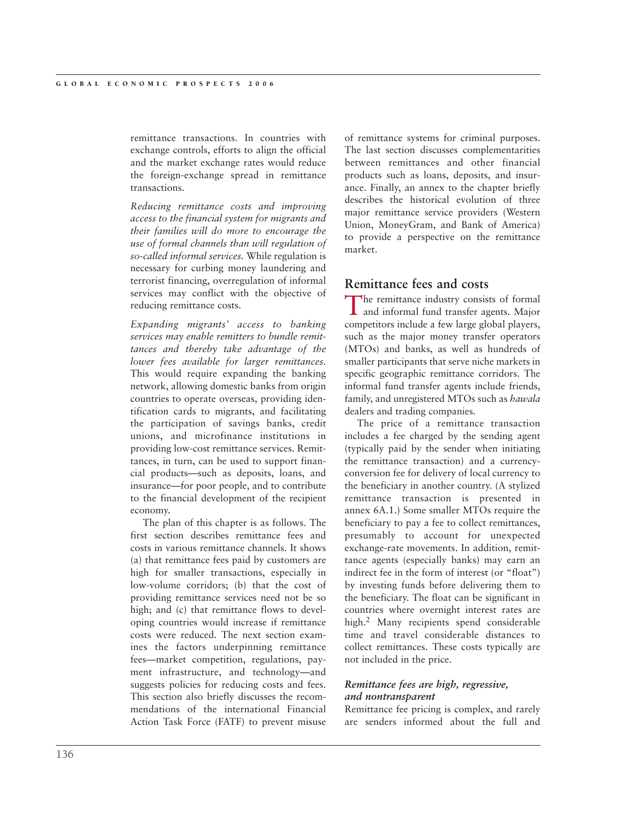remittance transactions. In countries with exchange controls, efforts to align the official and the market exchange rates would reduce the foreign-exchange spread in remittance transactions.

*Reducing remittance costs and improving access to the financial system for migrants and their families will do more to encourage the use of formal channels than will regulation of so-called informal services.* While regulation is necessary for curbing money laundering and terrorist financing, overregulation of informal services may conflict with the objective of reducing remittance costs.

*Expanding migrants' access to banking services may enable remitters to bundle remittances and thereby take advantage of the lower fees available for larger remittances.* This would require expanding the banking network, allowing domestic banks from origin countries to operate overseas, providing identification cards to migrants, and facilitating the participation of savings banks, credit unions, and microfinance institutions in providing low-cost remittance services. Remittances, in turn, can be used to support financial products—such as deposits, loans, and insurance—for poor people, and to contribute to the financial development of the recipient economy.

The plan of this chapter is as follows. The first section describes remittance fees and costs in various remittance channels. It shows (a) that remittance fees paid by customers are high for smaller transactions, especially in low-volume corridors; (b) that the cost of providing remittance services need not be so high; and (c) that remittance flows to developing countries would increase if remittance costs were reduced. The next section examines the factors underpinning remittance fees—market competition, regulations, payment infrastructure, and technology—and suggests policies for reducing costs and fees. This section also briefly discusses the recommendations of the international Financial Action Task Force (FATF) to prevent misuse

of remittance systems for criminal purposes. The last section discusses complementarities between remittances and other financial products such as loans, deposits, and insurance. Finally, an annex to the chapter briefly describes the historical evolution of three major remittance service providers (Western Union, MoneyGram, and Bank of America) to provide a perspective on the remittance market.

### **Remittance fees and costs**

The remittance industry consists of formal **L** and informal fund transfer agents. Major competitors include a few large global players, such as the major money transfer operators (MTOs) and banks, as well as hundreds of smaller participants that serve niche markets in specific geographic remittance corridors. The informal fund transfer agents include friends, family, and unregistered MTOs such as *hawala* dealers and trading companies.

The price of a remittance transaction includes a fee charged by the sending agent (typically paid by the sender when initiating the remittance transaction) and a currencyconversion fee for delivery of local currency to the beneficiary in another country. (A stylized remittance transaction is presented in annex 6A.1.) Some smaller MTOs require the beneficiary to pay a fee to collect remittances, presumably to account for unexpected exchange-rate movements. In addition, remittance agents (especially banks) may earn an indirect fee in the form of interest (or "float") by investing funds before delivering them to the beneficiary. The float can be significant in countries where overnight interest rates are high.<sup>2</sup> Many recipients spend considerable time and travel considerable distances to collect remittances. These costs typically are not included in the price.

### *Remittance fees are high, regressive, and nontransparent*

Remittance fee pricing is complex, and rarely are senders informed about the full and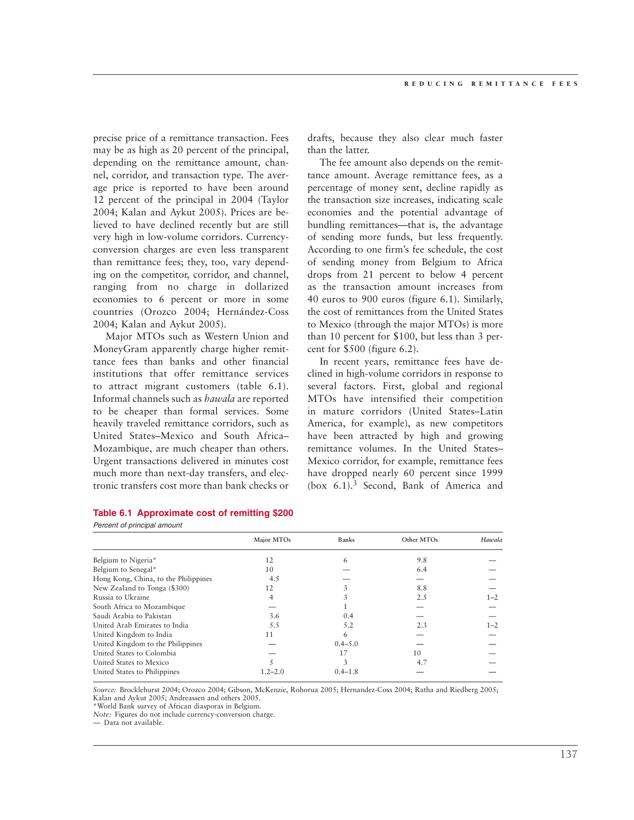precise price of a remittance transaction. Fees may be as high as 20 percent of the principal, depending on the remittance amount, channel, corridor, and transaction type. The average price is reported to have been around 12 percent of the principal in 2004 (Taylor 2004; Kalan and Aykut 2005). Prices are believed to have declined recently but are still very high in low-volume corridors. Currencyconversion charges are even less transparent than remittance fees; they, too, vary depending on the competitor, corridor, and channel, ranging from no charge in dollarized economies to 6 percent or more in some countries (Orozco 2004; Hernández-Coss 2004; Kalan and Aykut 2005).

Major MTOs such as Western Union and MoneyGram apparently charge higher remittance fees than banks and other financial institutions that offer remittance services to attract migrant customers (table 6.1). Informal channels such as *hawala* are reported to be cheaper than formal services. Some heavily traveled remittance corridors, such as United States–Mexico and South Africa– Mozambique, are much cheaper than others. Urgent transactions delivered in minutes cost much more than next-day transfers, and electronic transfers cost more than bank checks or drafts, because they also clear much faster than the latter.

The fee amount also depends on the remittance amount. Average remittance fees, as a percentage of money sent, decline rapidly as the transaction size increases, indicating scale economies and the potential advantage of bundling remittances—that is, the advantage of sending more funds, but less frequently. According to one firm's fee schedule, the cost of sending money from Belgium to Africa drops from 21 percent to below 4 percent as the transaction amount increases from 40 euros to 900 euros (figure 6.1). Similarly, the cost of remittances from the United States to Mexico (through the major MTOs) is more than 10 percent for \$100, but less than 3 percent for \$500 (figure 6.2).

In recent years, remittance fees have declined in high-volume corridors in response to several factors. First, global and regional MTOs have intensified their competition in mature corridors (United States–Latin America, for example), as new competitors have been attracted by high and growing remittance volumes. In the United States– Mexico corridor, for example, remittance fees have dropped nearly 60 percent since 1999 (box 6.1).<sup>3</sup> Second, Bank of America and

#### **Table 6.1 Approximate cost of remitting \$200**

Percent of principal amount

| <i>i</i> crecht of philosopal amount |             |              |            |         |
|--------------------------------------|-------------|--------------|------------|---------|
|                                      | Major MTOs  | <b>Banks</b> | Other MTOs | Hawala  |
| Belgium to Nigeria*                  | 12          |              | 9.8        |         |
| Belgium to Senegal*                  | 10          |              | 6.4        |         |
| Hong Kong, China, to the Philippines | 4.5         |              |            |         |
| New Zealand to Tonga (\$300)         | 12          |              | 8.8        |         |
| Russia to Ukraine                    | 4           |              | 2.5        | $1 - 2$ |
| South Africa to Mozambique           |             |              |            |         |
| Saudi Arabia to Pakistan             | 3.6         | 0.4          |            |         |
| United Arab Emirates to India        | 5.5         | 5.2          | 2.3        | $1 - 2$ |
| United Kingdom to India              | 11          | 6            |            |         |
| United Kingdom to the Philippines    |             | $0.4 - 5.0$  |            |         |
| United States to Colombia            |             | 17           | 10         |         |
| United States to Mexico              |             | 3            | 4.7        |         |
| United States to Philippines         | $1.2 - 2.0$ | $0.4 - 1.8$  |            |         |
|                                      |             |              |            |         |

*Source:* Brocklehurst 2004; Orozco 2004; Gibson, McKenzie, Rohorua 2005; Hernandez-Coss 2004; Ratha and Riedberg 2005; Kalan and Aykut 2005; Andreassen and others 2005.

\*World Bank survey of African diasporas in Belgium.

*Note:* Figures do not include currency-conversion charge.

— Data not available.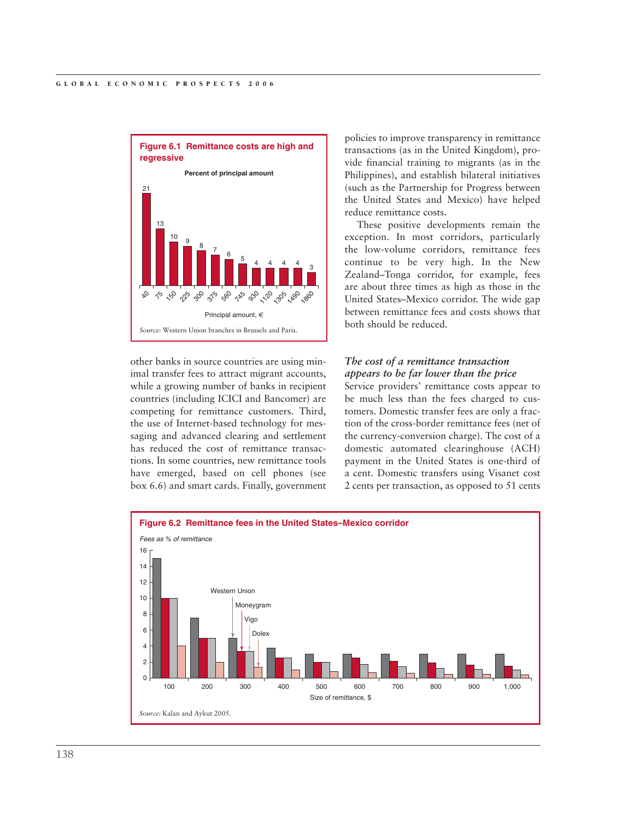

other banks in source countries are using minimal transfer fees to attract migrant accounts, while a growing number of banks in recipient countries (including ICICI and Bancomer) are competing for remittance customers. Third, the use of Internet-based technology for messaging and advanced clearing and settlement has reduced the cost of remittance transactions. In some countries, new remittance tools have emerged, based on cell phones (see box 6.6) and smart cards. Finally, government

policies to improve transparency in remittance transactions (as in the United Kingdom), provide financial training to migrants (as in the Philippines), and establish bilateral initiatives (such as the Partnership for Progress between the United States and Mexico) have helped reduce remittance costs.

These positive developments remain the exception. In most corridors, particularly the low-volume corridors, remittance fees continue to be very high. In the New Zealand–Tonga corridor, for example, fees are about three times as high as those in the United States–Mexico corridor. The wide gap between remittance fees and costs shows that both should be reduced.

### *The cost of a remittance transaction appears to be far lower than the price*

Service providers' remittance costs appear to be much less than the fees charged to customers. Domestic transfer fees are only a fraction of the cross-border remittance fees (net of the currency-conversion charge). The cost of a domestic automated clearinghouse (ACH) payment in the United States is one-third of a cent. Domestic transfers using Visanet cost 2 cents per transaction, as opposed to 51 cents

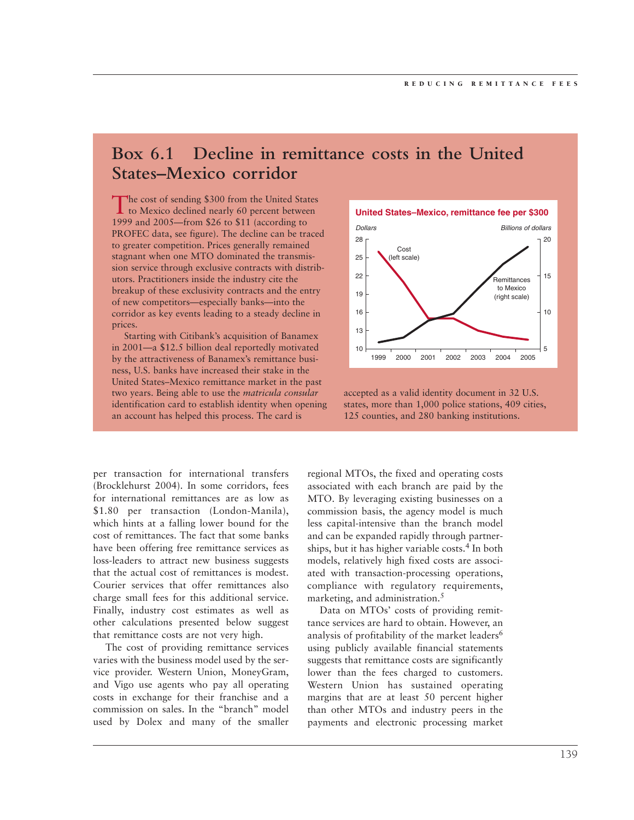# **Box 6.1 Decline in remittance costs in the United States–Mexico corridor**

The cost of sending \$300 from the United States<br>to Mexico declined nearly 60 percent between 1999 and 2005—from \$26 to \$11 (according to PROFEC data, see figure). The decline can be traced to greater competition. Prices generally remained stagnant when one MTO dominated the transmission service through exclusive contracts with distributors. Practitioners inside the industry cite the breakup of these exclusivity contracts and the entry of new competitors—especially banks—into the corridor as key events leading to a steady decline in prices.

Starting with Citibank's acquisition of Banamex in 2001—a \$12.5 billion deal reportedly motivated by the attractiveness of Banamex's remittance business, U.S. banks have increased their stake in the United States–Mexico remittance market in the past two years. Being able to use the *matricula consular* identification card to establish identity when opening an account has helped this process. The card is

per transaction for international transfers (Brocklehurst 2004). In some corridors, fees for international remittances are as low as \$1.80 per transaction (London-Manila), which hints at a falling lower bound for the cost of remittances. The fact that some banks have been offering free remittance services as loss-leaders to attract new business suggests that the actual cost of remittances is modest. Courier services that offer remittances also charge small fees for this additional service. Finally, industry cost estimates as well as other calculations presented below suggest that remittance costs are not very high.

The cost of providing remittance services varies with the business model used by the service provider. Western Union, MoneyGram, and Vigo use agents who pay all operating costs in exchange for their franchise and a commission on sales. In the "branch" model used by Dolex and many of the smaller



accepted as a valid identity document in 32 U.S. states, more than 1,000 police stations, 409 cities, 125 counties, and 280 banking institutions.

regional MTOs, the fixed and operating costs associated with each branch are paid by the MTO. By leveraging existing businesses on a commission basis, the agency model is much less capital-intensive than the branch model and can be expanded rapidly through partnerships, but it has higher variable costs.<sup>4</sup> In both models, relatively high fixed costs are associated with transaction-processing operations, compliance with regulatory requirements, marketing, and administration.<sup>5</sup>

Data on MTOs' costs of providing remittance services are hard to obtain. However, an analysis of profitability of the market leaders<sup>6</sup> using publicly available financial statements suggests that remittance costs are significantly lower than the fees charged to customers. Western Union has sustained operating margins that are at least 50 percent higher than other MTOs and industry peers in the payments and electronic processing market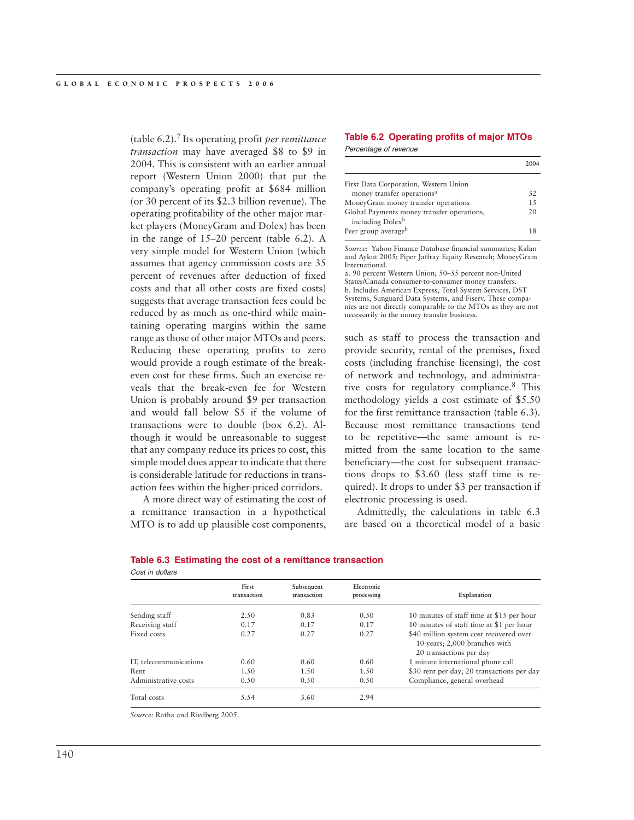(table 6.2).<sup>7</sup> Its operating profit *per remittance transaction* may have averaged \$8 to \$9 in 2004. This is consistent with an earlier annual report (Western Union 2000) that put the company's operating profit at \$684 million (or 30 percent of its \$2.3 billion revenue). The operating profitability of the other major market players (MoneyGram and Dolex) has been in the range of 15–20 percent (table 6.2). A very simple model for Western Union (which assumes that agency commission costs are 35 percent of revenues after deduction of fixed costs and that all other costs are fixed costs) suggests that average transaction fees could be reduced by as much as one-third while maintaining operating margins within the same range as those of other major MTOs and peers. Reducing these operating profits to zero would provide a rough estimate of the breakeven cost for these firms. Such an exercise reveals that the break-even fee for Western Union is probably around \$9 per transaction and would fall below \$5 if the volume of transactions were to double (box 6.2). Although it would be unreasonable to suggest that any company reduce its prices to cost, this simple model does appear to indicate that there is considerable latitude for reductions in transaction fees within the higher-priced corridors.

A more direct way of estimating the cost of a remittance transaction in a hypothetical MTO is to add up plausible cost components,

#### **Table 6.2 Operating profits of major MTOs** Percentage of revenue

**2004**

|                                                                            | $\sim$ $\cdots$ |
|----------------------------------------------------------------------------|-----------------|
| First Data Corporation, Western Union                                      |                 |
| money transfer operations <sup>a</sup>                                     | 32              |
| MoneyGram money transfer operations                                        | 1.5             |
| Global Payments money transfer operations,<br>including Dolex <sup>b</sup> | 20              |
| Peer group averageb                                                        | 18              |

*Source:* Yahoo Finance Database financial summaries; Kalan and Aykut 2005; Piper Jaffray Equity Research; MoneyGram International.

a. 90 percent Western Union; 50–55 percent non-United States/Canada consumer-to-consumer money transfers. b. Includes American Express, Total System Services, DST Systems, Sunguard Data Systems, and Fiserv. These companies are not directly comparable to the MTOs as they are not necessarily in the money transfer business.

such as staff to process the transaction and provide security, rental of the premises, fixed costs (including franchise licensing), the cost of network and technology, and administrative costs for regulatory compliance.8 This methodology yields a cost estimate of \$5.50 for the first remittance transaction (table 6.3). Because most remittance transactions tend to be repetitive—the same amount is remitted from the same location to the same beneficiary—the cost for subsequent transactions drops to \$3.60 (less staff time is required). It drops to under \$3 per transaction if electronic processing is used.

Admittedly, the calculations in table 6.3 are based on a theoretical model of a basic

### **Table 6.3 Estimating the cost of a remittance transaction**

Cost in dollars

| First       | Subsequent  | Electronic |                                                                                                     |
|-------------|-------------|------------|-----------------------------------------------------------------------------------------------------|
| transaction | transaction | processing | Explanation                                                                                         |
| 2.50        | 0.83        | 0.50       | 10 minutes of staff time at \$15 per hour                                                           |
| 0.17        | 0.17        | 0.17       | 10 minutes of staff time at \$1 per hour                                                            |
| 0.27        | 0.27        | 0.27       | \$40 million system cost recovered over<br>10 years; 2,000 branches with<br>20 transactions per day |
| 0.60        | 0.60        | 0.60       | 1 minute international phone call                                                                   |
| 1.50        | 1.50        | 1.50       | \$30 rent per day; 20 transactions per day                                                          |
| 0.50        | 0.50        | 0.50       | Compliance, general overhead                                                                        |
| 5.54        | 3.60        | 2.94       |                                                                                                     |
|             |             |            |                                                                                                     |

*Source:* Ratha and Riedberg 2005.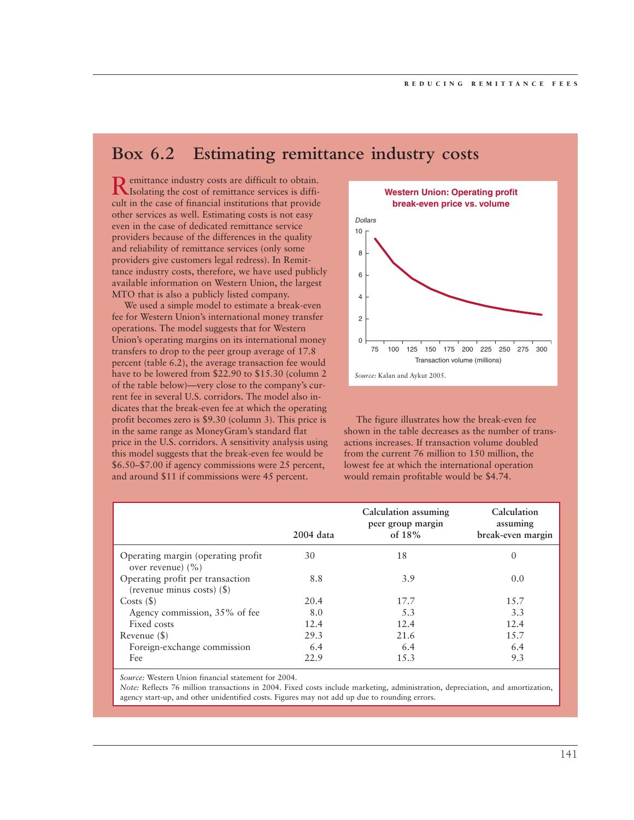# **Box 6.2 Estimating remittance industry costs**

Remittance industry costs are difficult to obtain. Isolating the cost of remittance services is difficult in the case of financial institutions that provide other services as well. Estimating costs is not easy even in the case of dedicated remittance service providers because of the differences in the quality and reliability of remittance services (only some providers give customers legal redress). In Remittance industry costs, therefore, we have used publicly available information on Western Union, the largest MTO that is also a publicly listed company.

We used a simple model to estimate a break-even fee for Western Union's international money transfer operations. The model suggests that for Western Union's operating margins on its international money transfers to drop to the peer group average of 17.8 percent (table 6.2), the average transaction fee would have to be lowered from \$22.90 to \$15.30 (column 2 of the table below)—very close to the company's current fee in several U.S. corridors. The model also indicates that the break-even fee at which the operating profit becomes zero is \$9.30 (column 3). This price is in the same range as MoneyGram's standard flat price in the U.S. corridors. A sensitivity analysis using this model suggests that the break-even fee would be \$6.50–\$7.00 if agency commissions were 25 percent, and around \$11 if commissions were 45 percent.



The figure illustrates how the break-even fee shown in the table decreases as the number of transactions increases. If transaction volume doubled from the current 76 million to 150 million, the lowest fee at which the international operation would remain profitable would be \$4.74.

|                                                                  | $2004$ data | Calculation assuming<br>peer group margin<br>of $18\%$ | Calculation<br>assuming<br>break-even margin |
|------------------------------------------------------------------|-------------|--------------------------------------------------------|----------------------------------------------|
| Operating margin (operating profit)<br>over revenue) $(\% )$     | 30          | 18                                                     | $\theta$                                     |
| Operating profit per transaction<br>(revenue minus costs) $(\$)$ | 8.8         | 3.9                                                    | 0.0                                          |
| Costs $(\$)$                                                     | 20.4        | 17.7                                                   | 15.7                                         |
| Agency commission, 35% of fee                                    | 8.0         | 5.3                                                    | 3.3                                          |
| Fixed costs                                                      | 12.4        | 12.4                                                   | 12.4                                         |
| Revenue (\$)                                                     | 29.3        | 21.6                                                   | 15.7                                         |
| Foreign-exchange commission                                      | 6.4         | 6.4                                                    | 6.4                                          |
| Fee                                                              | 22.9        | 1.5.3                                                  | 9.3                                          |

*Source:* Western Union financial statement for 2004.

*Note:* Reflects 76 million transactions in 2004. Fixed costs include marketing, administration, depreciation, and amortization, agency start-up, and other unidentified costs. Figures may not add up due to rounding errors.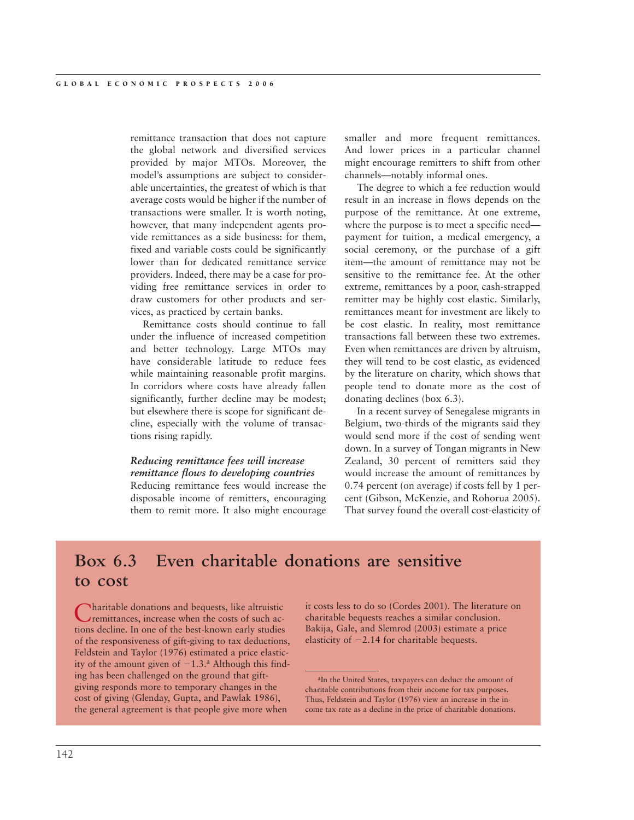remittance transaction that does not capture the global network and diversified services provided by major MTOs. Moreover, the model's assumptions are subject to considerable uncertainties, the greatest of which is that average costs would be higher if the number of transactions were smaller. It is worth noting, however, that many independent agents provide remittances as a side business: for them, fixed and variable costs could be significantly lower than for dedicated remittance service providers. Indeed, there may be a case for providing free remittance services in order to draw customers for other products and services, as practiced by certain banks.

Remittance costs should continue to fall under the influence of increased competition and better technology. Large MTOs may have considerable latitude to reduce fees while maintaining reasonable profit margins. In corridors where costs have already fallen significantly, further decline may be modest; but elsewhere there is scope for significant decline, especially with the volume of transactions rising rapidly.

### *Reducing remittance fees will increase remittance flows to developing countries*

Reducing remittance fees would increase the disposable income of remitters, encouraging them to remit more. It also might encourage smaller and more frequent remittances. And lower prices in a particular channel might encourage remitters to shift from other channels—notably informal ones.

The degree to which a fee reduction would result in an increase in flows depends on the purpose of the remittance. At one extreme, where the purpose is to meet a specific need payment for tuition, a medical emergency, a social ceremony, or the purchase of a gift item—the amount of remittance may not be sensitive to the remittance fee. At the other extreme, remittances by a poor, cash-strapped remitter may be highly cost elastic. Similarly, remittances meant for investment are likely to be cost elastic. In reality, most remittance transactions fall between these two extremes. Even when remittances are driven by altruism, they will tend to be cost elastic, as evidenced by the literature on charity, which shows that people tend to donate more as the cost of donating declines (box 6.3).

In a recent survey of Senegalese migrants in Belgium, two-thirds of the migrants said they would send more if the cost of sending went down. In a survey of Tongan migrants in New Zealand, 30 percent of remitters said they would increase the amount of remittances by 0.74 percent (on average) if costs fell by 1 percent (Gibson, McKenzie, and Rohorua 2005). That survey found the overall cost-elasticity of

# **Box 6.3 Even charitable donations are sensitive to cost**

Charitable donations and bequests, like altruistic remittances, increase when the costs of such actions decline. In one of the best-known early studies of the responsiveness of gift-giving to tax deductions, Feldstein and Taylor (1976) estimated a price elasticity of the amount given of  $-1.3$ .<sup>a</sup> Although this finding has been challenged on the ground that giftgiving responds more to temporary changes in the cost of giving (Glenday, Gupta, and Pawlak 1986), the general agreement is that people give more when

it costs less to do so (Cordes 2001). The literature on charitable bequests reaches a similar conclusion. Bakija, Gale, and Slemrod (2003) estimate a price elasticity of  $-2.14$  for charitable bequests.

aIn the United States, taxpayers can deduct the amount of charitable contributions from their income for tax purposes. Thus, Feldstein and Taylor (1976) view an increase in the income tax rate as a decline in the price of charitable donations.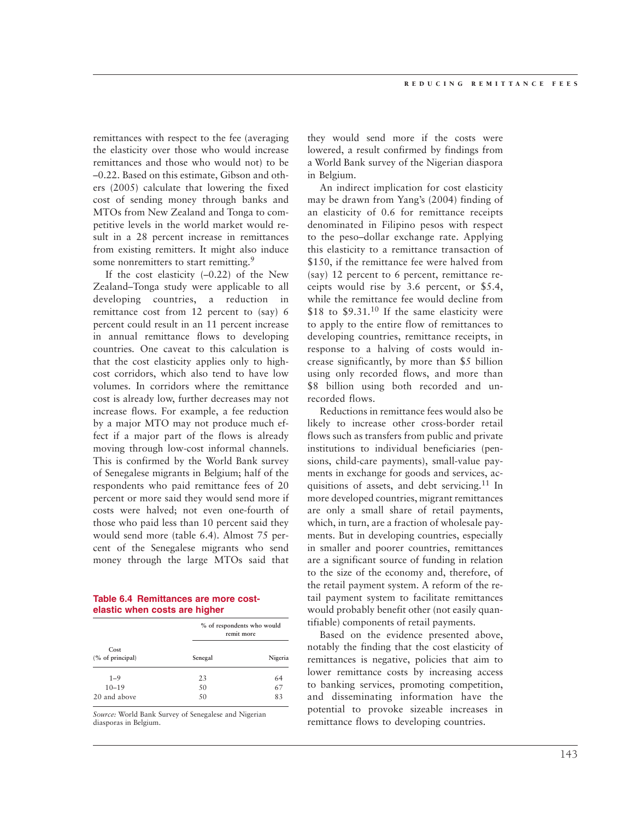remittances with respect to the fee (averaging the elasticity over those who would increase remittances and those who would not) to be –0.22. Based on this estimate, Gibson and others (2005) calculate that lowering the fixed cost of sending money through banks and MTOs from New Zealand and Tonga to competitive levels in the world market would result in a 28 percent increase in remittances from existing remitters. It might also induce some nonremitters to start remitting.<sup>9</sup>

If the cost elasticity  $(-0.22)$  of the New Zealand–Tonga study were applicable to all developing countries, a reduction in remittance cost from 12 percent to (say) 6 percent could result in an 11 percent increase in annual remittance flows to developing countries*.* One caveat to this calculation is that the cost elasticity applies only to highcost corridors, which also tend to have low volumes. In corridors where the remittance cost is already low, further decreases may not increase flows. For example, a fee reduction by a major MTO may not produce much effect if a major part of the flows is already moving through low-cost informal channels. This is confirmed by the World Bank survey of Senegalese migrants in Belgium; half of the respondents who paid remittance fees of 20 percent or more said they would send more if costs were halved; not even one-fourth of those who paid less than 10 percent said they would send more (table 6.4). Almost 75 percent of the Senegalese migrants who send money through the large MTOs said that

#### **Table 6.4 Remittances are more costelastic when costs are higher**

|                          | % of respondents who would<br>remit more |         |  |
|--------------------------|------------------------------------------|---------|--|
| Cost<br>(% of principal) | Senegal                                  | Nigeria |  |
| $1 - 9$                  | 23                                       | 64      |  |
| $10 - 19$                | 50                                       | 67      |  |
| 20 and above             | 50                                       | 83      |  |

*Source:* World Bank Survey of Senegalese and Nigerian diasporas in Belgium.

they would send more if the costs were lowered, a result confirmed by findings from a World Bank survey of the Nigerian diaspora in Belgium.

An indirect implication for cost elasticity may be drawn from Yang's (2004) finding of an elasticity of 0.6 for remittance receipts denominated in Filipino pesos with respect to the peso–dollar exchange rate. Applying this elasticity to a remittance transaction of \$150, if the remittance fee were halved from (say) 12 percent to 6 percent, remittance receipts would rise by 3.6 percent, or \$5.4, while the remittance fee would decline from \$18 to \$9.31.<sup>10</sup> If the same elasticity were to apply to the entire flow of remittances to developing countries, remittance receipts, in response to a halving of costs would increase significantly, by more than \$5 billion using only recorded flows, and more than \$8 billion using both recorded and unrecorded flows.

Reductions in remittance fees would also be likely to increase other cross-border retail flows such as transfers from public and private institutions to individual beneficiaries (pensions, child-care payments), small-value payments in exchange for goods and services, acquisitions of assets, and debt servicing.11 In more developed countries, migrant remittances are only a small share of retail payments, which, in turn, are a fraction of wholesale payments. But in developing countries, especially in smaller and poorer countries, remittances are a significant source of funding in relation to the size of the economy and, therefore, of the retail payment system. A reform of the retail payment system to facilitate remittances would probably benefit other (not easily quantifiable) components of retail payments.

Based on the evidence presented above, notably the finding that the cost elasticity of remittances is negative, policies that aim to lower remittance costs by increasing access to banking services, promoting competition, and disseminating information have the potential to provoke sizeable increases in remittance flows to developing countries.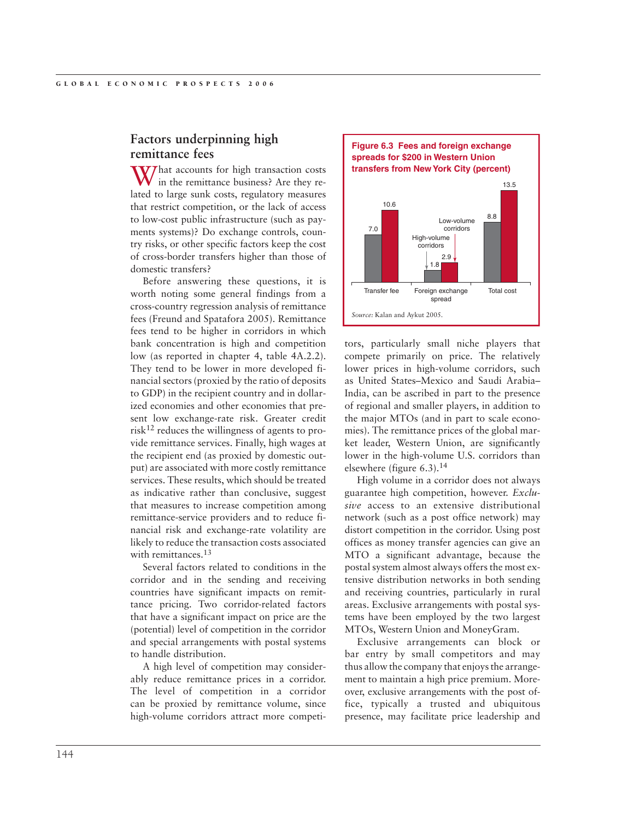### **Factors underpinning high remittance fees**

W/hat accounts for high transaction costs in the remittance business? Are they related to large sunk costs, regulatory measures that restrict competition, or the lack of access to low-cost public infrastructure (such as payments systems)? Do exchange controls, country risks, or other specific factors keep the cost of cross-border transfers higher than those of domestic transfers?

Before answering these questions, it is worth noting some general findings from a cross-country regression analysis of remittance fees (Freund and Spatafora 2005). Remittance fees tend to be higher in corridors in which bank concentration is high and competition low (as reported in chapter 4, table 4A.2.2). They tend to be lower in more developed financial sectors (proxied by the ratio of deposits to GDP) in the recipient country and in dollarized economies and other economies that present low exchange-rate risk. Greater credit risk<sup>12</sup> reduces the willingness of agents to provide remittance services. Finally, high wages at the recipient end (as proxied by domestic output) are associated with more costly remittance services. These results, which should be treated as indicative rather than conclusive, suggest that measures to increase competition among remittance-service providers and to reduce financial risk and exchange-rate volatility are likely to reduce the transaction costs associated with remittances.<sup>13</sup>

Several factors related to conditions in the corridor and in the sending and receiving countries have significant impacts on remittance pricing. Two corridor-related factors that have a significant impact on price are the (potential) level of competition in the corridor and special arrangements with postal systems to handle distribution.

A high level of competition may considerably reduce remittance prices in a corridor. The level of competition in a corridor can be proxied by remittance volume, since high-volume corridors attract more competi-



tors, particularly small niche players that compete primarily on price. The relatively lower prices in high-volume corridors, such as United States–Mexico and Saudi Arabia– India, can be ascribed in part to the presence of regional and smaller players, in addition to the major MTOs (and in part to scale economies). The remittance prices of the global market leader, Western Union, are significantly lower in the high-volume U.S. corridors than elsewhere (figure  $6.3$ ).<sup>14</sup>

High volume in a corridor does not always guarantee high competition, however. *Exclusive* access to an extensive distributional network (such as a post office network) may distort competition in the corridor. Using post offices as money transfer agencies can give an MTO a significant advantage, because the postal system almost always offers the most extensive distribution networks in both sending and receiving countries, particularly in rural areas. Exclusive arrangements with postal systems have been employed by the two largest MTOs, Western Union and MoneyGram.

Exclusive arrangements can block or bar entry by small competitors and may thus allow the company that enjoys the arrangement to maintain a high price premium. Moreover, exclusive arrangements with the post office, typically a trusted and ubiquitous presence, may facilitate price leadership and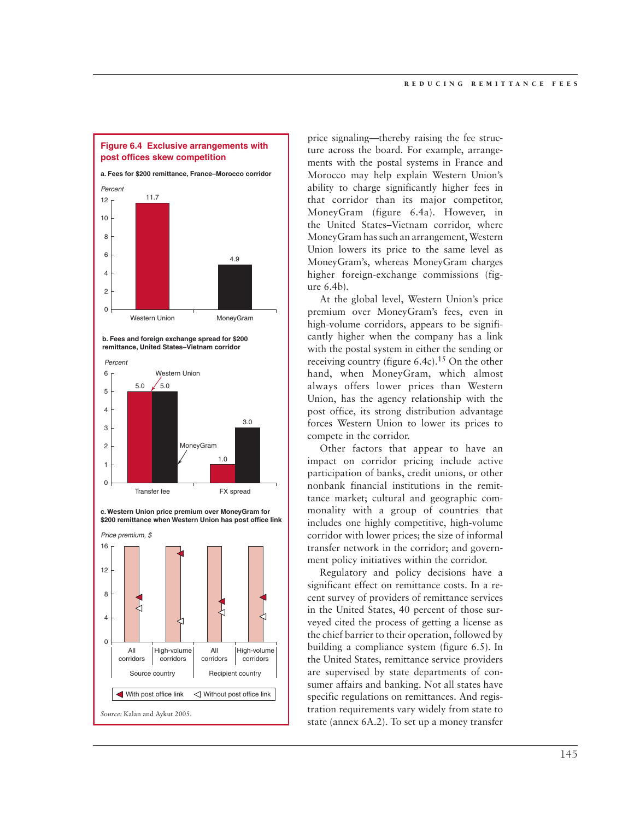

**b. Fees and foreign exchange spread for \$200 remittance, United States–Vietnam corridor**



**c. Western Union price premium over MoneyGram for \$200 remittance when Western Union has post office link**



price signaling—thereby raising the fee structure across the board. For example, arrangements with the postal systems in France and Morocco may help explain Western Union's ability to charge significantly higher fees in that corridor than its major competitor, MoneyGram (figure 6.4a). However, in the United States–Vietnam corridor, where MoneyGram has such an arrangement, Western Union lowers its price to the same level as MoneyGram's, whereas MoneyGram charges higher foreign-exchange commissions (figure 6.4b).

At the global level, Western Union's price premium over MoneyGram's fees, even in high-volume corridors, appears to be significantly higher when the company has a link with the postal system in either the sending or receiving country (figure 6.4c).<sup>15</sup> On the other hand, when MoneyGram, which almost always offers lower prices than Western Union, has the agency relationship with the post office, its strong distribution advantage forces Western Union to lower its prices to compete in the corridor.

Other factors that appear to have an impact on corridor pricing include active participation of banks, credit unions, or other nonbank financial institutions in the remittance market; cultural and geographic commonality with a group of countries that includes one highly competitive, high-volume corridor with lower prices; the size of informal transfer network in the corridor; and government policy initiatives within the corridor.

Regulatory and policy decisions have a significant effect on remittance costs. In a recent survey of providers of remittance services in the United States, 40 percent of those surveyed cited the process of getting a license as the chief barrier to their operation, followed by building a compliance system (figure 6.5). In the United States, remittance service providers are supervised by state departments of consumer affairs and banking. Not all states have specific regulations on remittances. And registration requirements vary widely from state to state (annex 6A.2). To set up a money transfer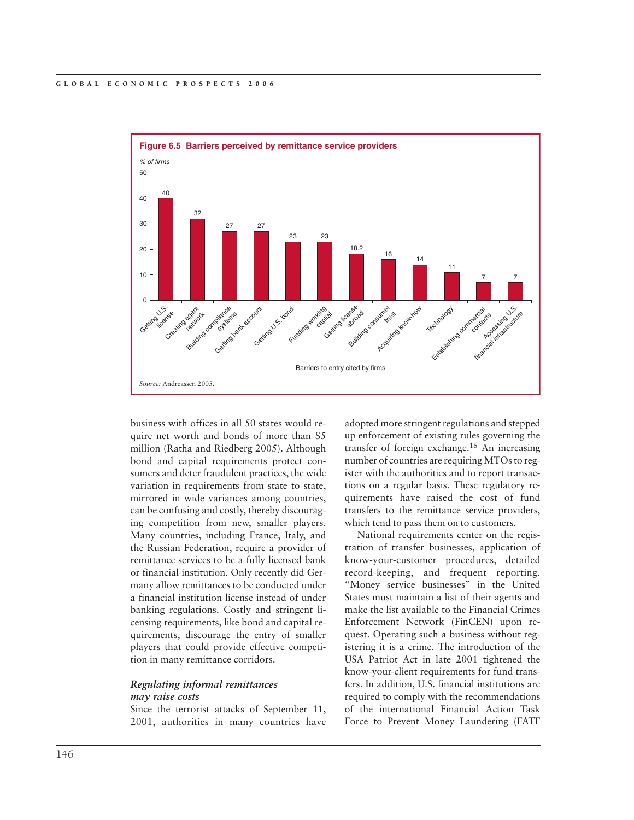

business with offices in all 50 states would require net worth and bonds of more than \$5 million (Ratha and Riedberg 2005). Although bond and capital requirements protect consumers and deter fraudulent practices, the wide variation in requirements from state to state, mirrored in wide variances among countries, can be confusing and costly, thereby discouraging competition from new, smaller players. Many countries, including France, Italy, and the Russian Federation, require a provider of remittance services to be a fully licensed bank or financial institution. Only recently did Germany allow remittances to be conducted under a financial institution license instead of under banking regulations. Costly and stringent licensing requirements, like bond and capital requirements, discourage the entry of smaller players that could provide effective competition in many remittance corridors.

### *Regulating informal remittances may raise costs*

Since the terrorist attacks of September 11, 2001, authorities in many countries have adopted more stringent regulations and stepped up enforcement of existing rules governing the transfer of foreign exchange.16 An increasing number of countries are requiring MTOs to register with the authorities and to report transactions on a regular basis. These regulatory requirements have raised the cost of fund transfers to the remittance service providers, which tend to pass them on to customers.

National requirements center on the registration of transfer businesses, application of know-your-customer procedures, detailed record-keeping, and frequent reporting. "Money service businesses" in the United States must maintain a list of their agents and make the list available to the Financial Crimes Enforcement Network (FinCEN) upon request. Operating such a business without registering it is a crime. The introduction of the USA Patriot Act in late 2001 tightened the know-your-client requirements for fund transfers. In addition, U.S. financial institutions are required to comply with the recommendations of the international Financial Action Task Force to Prevent Money Laundering (FATF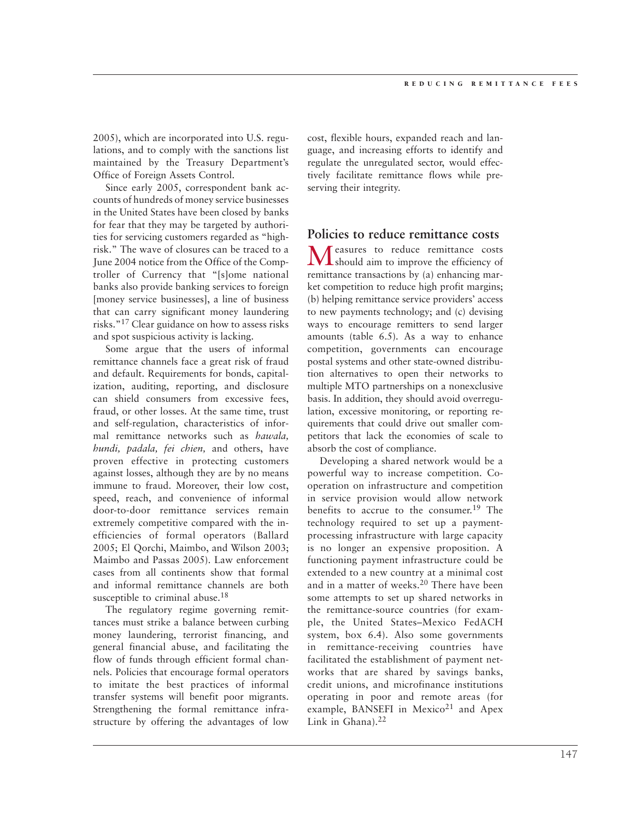2005), which are incorporated into U.S. regulations, and to comply with the sanctions list maintained by the Treasury Department's Office of Foreign Assets Control.

Since early 2005, correspondent bank accounts of hundreds of money service businesses in the United States have been closed by banks for fear that they may be targeted by authorities for servicing customers regarded as "highrisk." The wave of closures can be traced to a June 2004 notice from the Office of the Comptroller of Currency that "[s]ome national banks also provide banking services to foreign [money service businesses], a line of business that can carry significant money laundering risks."17 Clear guidance on how to assess risks and spot suspicious activity is lacking.

Some argue that the users of informal remittance channels face a great risk of fraud and default. Requirements for bonds, capitalization, auditing, reporting, and disclosure can shield consumers from excessive fees, fraud, or other losses. At the same time, trust and self-regulation, characteristics of informal remittance networks such as *hawala, hundi, padala, fei chien,* and others, have proven effective in protecting customers against losses, although they are by no means immune to fraud. Moreover, their low cost, speed, reach, and convenience of informal door-to-door remittance services remain extremely competitive compared with the inefficiencies of formal operators (Ballard 2005; El Qorchi, Maimbo, and Wilson 2003; Maimbo and Passas 2005). Law enforcement cases from all continents show that formal and informal remittance channels are both susceptible to criminal abuse.<sup>18</sup>

The regulatory regime governing remittances must strike a balance between curbing money laundering, terrorist financing, and general financial abuse, and facilitating the flow of funds through efficient formal channels. Policies that encourage formal operators to imitate the best practices of informal transfer systems will benefit poor migrants. Strengthening the formal remittance infrastructure by offering the advantages of low cost, flexible hours, expanded reach and language, and increasing efforts to identify and regulate the unregulated sector, would effectively facilitate remittance flows while preserving their integrity.

### **Policies to reduce remittance costs**

Measures to reduce remittance costs should aim to improve the efficiency of remittance transactions by (a) enhancing market competition to reduce high profit margins; (b) helping remittance service providers' access to new payments technology; and (c) devising ways to encourage remitters to send larger amounts (table 6.5). As a way to enhance competition, governments can encourage postal systems and other state-owned distribution alternatives to open their networks to multiple MTO partnerships on a nonexclusive basis. In addition, they should avoid overregulation, excessive monitoring, or reporting requirements that could drive out smaller competitors that lack the economies of scale to absorb the cost of compliance.

Developing a shared network would be a powerful way to increase competition. Cooperation on infrastructure and competition in service provision would allow network benefits to accrue to the consumer.<sup>19</sup> The technology required to set up a paymentprocessing infrastructure with large capacity is no longer an expensive proposition. A functioning payment infrastructure could be extended to a new country at a minimal cost and in a matter of weeks.<sup>20</sup> There have been some attempts to set up shared networks in the remittance-source countries (for example, the United States–Mexico FedACH system, box 6.4). Also some governments in remittance-receiving countries have facilitated the establishment of payment networks that are shared by savings banks, credit unions, and microfinance institutions operating in poor and remote areas (for example, BANSEFI in Mexico<sup>21</sup> and Apex Link in Ghana). $22$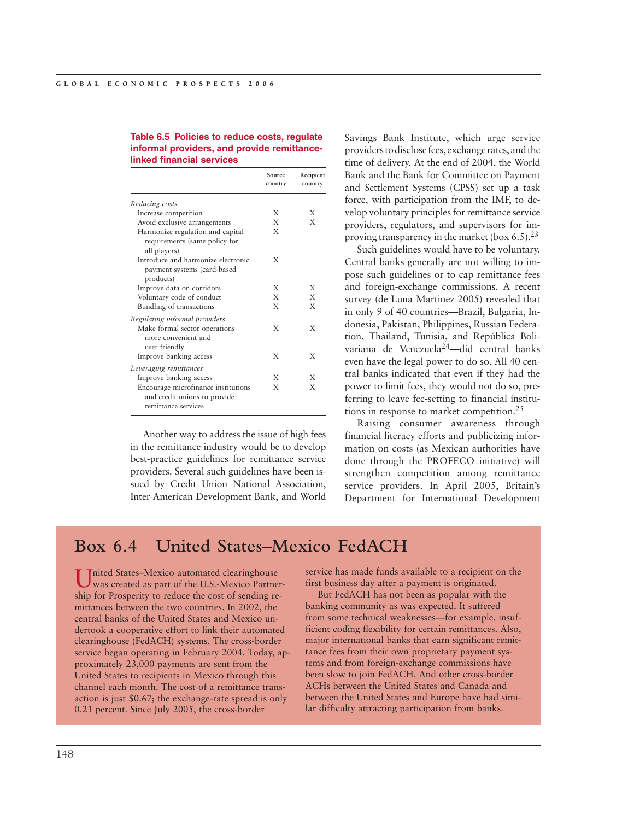#### **Table 6.5 Policies to reduce costs, regulate informal providers, and provide remittancelinked financial services**

|                                                                                            | Source<br>country | Recipient<br>country |
|--------------------------------------------------------------------------------------------|-------------------|----------------------|
| Reducing costs                                                                             |                   |                      |
| Increase competition                                                                       | X                 | X                    |
| Avoid exclusive arrangements                                                               | X                 | X                    |
| Harmonize regulation and capital<br>requirements (same policy for<br>all players)          | X                 |                      |
| Introduce and harmonize electronic<br>payment systems (card-based<br>products)             | X                 |                      |
| Improve data on corridors                                                                  | X                 | X                    |
| Voluntary code of conduct                                                                  | X                 | X                    |
| Bundling of transactions                                                                   | X                 | X                    |
| Regulating informal providers                                                              |                   |                      |
| Make formal sector operations<br>more convenient and<br>user friendly                      | X                 | X                    |
| Improve banking access                                                                     | X                 | X                    |
| Leveraging remittances                                                                     |                   |                      |
| Improve banking access                                                                     | X                 | X                    |
| Encourage microfinance institutions<br>and credit unions to provide<br>remittance services | X                 | X                    |

Another way to address the issue of high fees in the remittance industry would be to develop best-practice guidelines for remittance service providers. Several such guidelines have been issued by Credit Union National Association, Inter-American Development Bank, and World Savings Bank Institute, which urge service providerstodisclosefees,exchangerates,andthe time of delivery. At the end of 2004, the World Bank and the Bank for Committee on Payment and Settlement Systems (CPSS) set up a task force, with participation from the IMF, to develop voluntary principles for remittance service providers, regulators, and supervisors for improving transparency in the market (box  $6.5$ ).<sup>23</sup>

Such guidelines would have to be voluntary. Central banks generally are not willing to impose such guidelines or to cap remittance fees and foreign-exchange commissions. A recent survey (de Luna Martinez 2005) revealed that in only 9 of 40 countries—Brazil, Bulgaria, Indonesia, Pakistan, Philippines, Russian Federation, Thailand, Tunisia, and República Bolivariana de Venezuela24—did central banks even have the legal power to do so. All 40 central banks indicated that even if they had the power to limit fees, they would not do so, preferring to leave fee-setting to financial institutions in response to market competition.<sup>25</sup>

Raising consumer awareness through financial literacy efforts and publicizing information on costs (as Mexican authorities have done through the PROFECO initiative) will strengthen competition among remittance service providers. In April 2005, Britain's Department for International Development

# **Box 6.4 United States–Mexico FedACH**

United States–Mexico automated clearinghouse was created as part of the U.S.-Mexico Partnership for Prosperity to reduce the cost of sending remittances between the two countries. In 2002, the central banks of the United States and Mexico undertook a cooperative effort to link their automated clearinghouse (FedACH) systems. The cross-border service began operating in February 2004. Today, approximately 23,000 payments are sent from the United States to recipients in Mexico through this channel each month. The cost of a remittance transaction is just \$0.67; the exchange-rate spread is only 0.21 percent. Since July 2005, the cross-border

service has made funds available to a recipient on the first business day after a payment is originated.

But FedACH has not been as popular with the banking community as was expected. It suffered from some technical weaknesses—for example, insufficient coding flexibility for certain remittances. Also, major international banks that earn significant remittance fees from their own proprietary payment systems and from foreign-exchange commissions have been slow to join FedACH. And other cross-border ACHs between the United States and Canada and between the United States and Europe have had similar difficulty attracting participation from banks.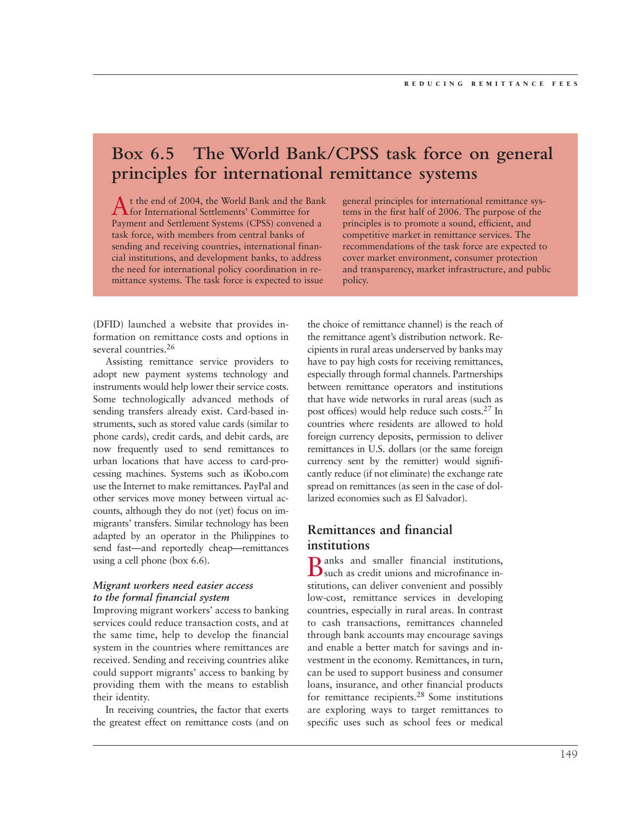# **Box 6.5 The World Bank/CPSS task force on general principles for international remittance systems**

At the end of 2004, the World Bank and the Bank for International Settlements' Committee for Payment and Settlement Systems (CPSS) convened a task force, with members from central banks of sending and receiving countries, international financial institutions, and development banks, to address the need for international policy coordination in remittance systems. The task force is expected to issue

general principles for international remittance systems in the first half of 2006. The purpose of the principles is to promote a sound, efficient, and competitive market in remittance services. The recommendations of the task force are expected to cover market environment, consumer protection and transparency, market infrastructure, and public policy.

(DFID) launched a website that provides information on remittance costs and options in several countries.<sup>26</sup>

Assisting remittance service providers to adopt new payment systems technology and instruments would help lower their service costs. Some technologically advanced methods of sending transfers already exist. Card-based instruments, such as stored value cards (similar to phone cards), credit cards, and debit cards, are now frequently used to send remittances to urban locations that have access to card-processing machines. Systems such as iKobo.com use the Internet to make remittances. PayPal and other services move money between virtual accounts, although they do not (yet) focus on immigrants' transfers. Similar technology has been adapted by an operator in the Philippines to send fast—and reportedly cheap—remittances using a cell phone (box 6.6).

### *Migrant workers need easier access to the formal financial system*

Improving migrant workers' access to banking services could reduce transaction costs, and at the same time, help to develop the financial system in the countries where remittances are received. Sending and receiving countries alike could support migrants' access to banking by providing them with the means to establish their identity.

In receiving countries, the factor that exerts the greatest effect on remittance costs (and on

the choice of remittance channel) is the reach of the remittance agent's distribution network. Recipients in rural areas underserved by banks may have to pay high costs for receiving remittances, especially through formal channels. Partnerships between remittance operators and institutions that have wide networks in rural areas (such as post offices) would help reduce such costs.27 In countries where residents are allowed to hold foreign currency deposits, permission to deliver remittances in U.S. dollars (or the same foreign currency sent by the remitter) would significantly reduce (if not eliminate) the exchange rate spread on remittances (as seen in the case of dollarized economies such as El Salvador).

### **Remittances and financial institutions**

Banks and smaller financial institutions, such as credit unions and microfinance institutions, can deliver convenient and possibly low-cost, remittance services in developing countries, especially in rural areas. In contrast to cash transactions, remittances channeled through bank accounts may encourage savings and enable a better match for savings and investment in the economy. Remittances, in turn, can be used to support business and consumer loans, insurance, and other financial products for remittance recipients.28 Some institutions are exploring ways to target remittances to specific uses such as school fees or medical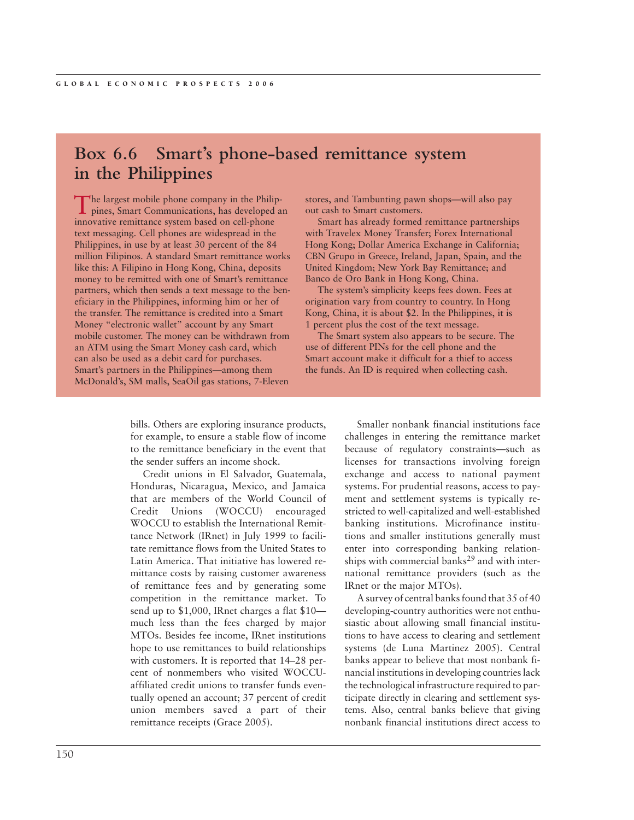# **Box 6.6 Smart's phone-based remittance system in the Philippines**

The largest mobile phone company in the Philip-pines, Smart Communications, has developed an innovative remittance system based on cell-phone text messaging. Cell phones are widespread in the Philippines, in use by at least 30 percent of the 84 million Filipinos. A standard Smart remittance works like this: A Filipino in Hong Kong, China, deposits money to be remitted with one of Smart's remittance partners, which then sends a text message to the beneficiary in the Philippines, informing him or her of the transfer. The remittance is credited into a Smart Money "electronic wallet" account by any Smart mobile customer. The money can be withdrawn from an ATM using the Smart Money cash card, which can also be used as a debit card for purchases. Smart's partners in the Philippines—among them McDonald's, SM malls, SeaOil gas stations, 7-Eleven

stores, and Tambunting pawn shops—will also pay out cash to Smart customers.

Smart has already formed remittance partnerships with Travelex Money Transfer; Forex International Hong Kong; Dollar America Exchange in California; CBN Grupo in Greece, Ireland, Japan, Spain, and the United Kingdom; New York Bay Remittance; and Banco de Oro Bank in Hong Kong, China.

The system's simplicity keeps fees down. Fees at origination vary from country to country. In Hong Kong, China, it is about \$2. In the Philippines, it is 1 percent plus the cost of the text message.

The Smart system also appears to be secure. The use of different PINs for the cell phone and the Smart account make it difficult for a thief to access the funds. An ID is required when collecting cash.

bills. Others are exploring insurance products, for example, to ensure a stable flow of income to the remittance beneficiary in the event that the sender suffers an income shock.

Credit unions in El Salvador, Guatemala, Honduras, Nicaragua, Mexico, and Jamaica that are members of the World Council of Credit Unions (WOCCU) encouraged WOCCU to establish the International Remittance Network (IRnet) in July 1999 to facilitate remittance flows from the United States to Latin America. That initiative has lowered remittance costs by raising customer awareness of remittance fees and by generating some competition in the remittance market. To send up to \$1,000, IRnet charges a flat \$10 much less than the fees charged by major MTOs. Besides fee income, IRnet institutions hope to use remittances to build relationships with customers. It is reported that 14–28 percent of nonmembers who visited WOCCUaffiliated credit unions to transfer funds eventually opened an account; 37 percent of credit union members saved a part of their remittance receipts (Grace 2005).

Smaller nonbank financial institutions face challenges in entering the remittance market because of regulatory constraints—such as licenses for transactions involving foreign exchange and access to national payment systems. For prudential reasons, access to payment and settlement systems is typically restricted to well-capitalized and well-established banking institutions. Microfinance institutions and smaller institutions generally must enter into corresponding banking relationships with commercial banks<sup>29</sup> and with international remittance providers (such as the IRnet or the major MTOs).

A survey of central banks found that 35 of 40 developing-country authorities were not enthusiastic about allowing small financial institutions to have access to clearing and settlement systems (de Luna Martinez 2005). Central banks appear to believe that most nonbank financial institutions in developing countries lack the technological infrastructure required to participate directly in clearing and settlement systems. Also, central banks believe that giving nonbank financial institutions direct access to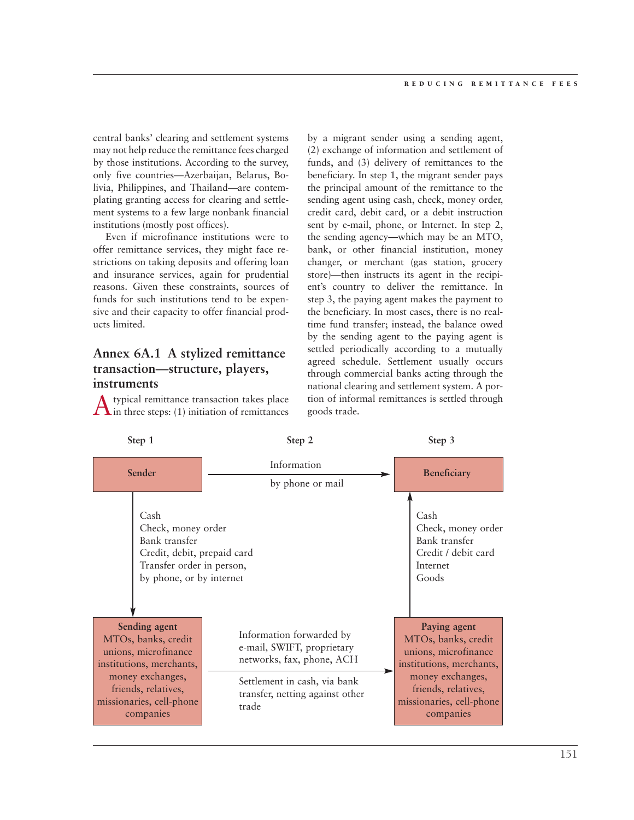central banks' clearing and settlement systems may not help reduce the remittance fees charged by those institutions. According to the survey, only five countries—Azerbaijan, Belarus, Bolivia, Philippines, and Thailand—are contemplating granting access for clearing and settlement systems to a few large nonbank financial institutions (mostly post offices).

Even if microfinance institutions were to offer remittance services, they might face restrictions on taking deposits and offering loan and insurance services, again for prudential reasons. Given these constraints, sources of funds for such institutions tend to be expensive and their capacity to offer financial products limited.

### **Annex 6A.1 A stylized remittance transaction—structure, players, instruments**

Atypical remittance transaction takes place in three steps: (1) initiation of remittances

by a migrant sender using a sending agent, (2) exchange of information and settlement of funds, and (3) delivery of remittances to the beneficiary. In step 1, the migrant sender pays the principal amount of the remittance to the sending agent using cash, check, money order, credit card, debit card, or a debit instruction sent by e-mail, phone, or Internet. In step 2, the sending agency—which may be an MTO, bank, or other financial institution, money changer, or merchant (gas station, grocery store)—then instructs its agent in the recipient's country to deliver the remittance. In step 3, the paying agent makes the payment to the beneficiary. In most cases, there is no realtime fund transfer; instead, the balance owed by the sending agent to the paying agent is settled periodically according to a mutually agreed schedule. Settlement usually occurs through commercial banks acting through the national clearing and settlement system. A portion of informal remittances is settled through goods trade.

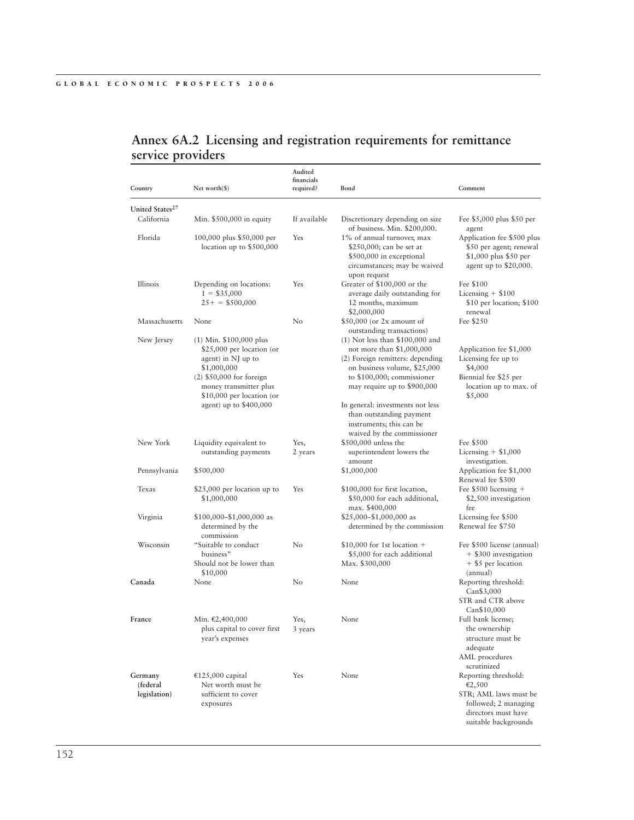| Country                             | Net worth $(\$)$                                                                                                                                                                                            | Audited<br>financials<br>required? | Bond                                                                                                                                                                                                                                                                                                                      | Comment                                                                                                                        |
|-------------------------------------|-------------------------------------------------------------------------------------------------------------------------------------------------------------------------------------------------------------|------------------------------------|---------------------------------------------------------------------------------------------------------------------------------------------------------------------------------------------------------------------------------------------------------------------------------------------------------------------------|--------------------------------------------------------------------------------------------------------------------------------|
| United States <sup>27</sup>         |                                                                                                                                                                                                             |                                    |                                                                                                                                                                                                                                                                                                                           |                                                                                                                                |
| California                          | Min. \$500,000 in equity                                                                                                                                                                                    | If available                       | Discretionary depending on size<br>of business. Min. \$200,000.                                                                                                                                                                                                                                                           | Fee \$5,000 plus \$50 per<br>agent                                                                                             |
| Florida                             | 100,000 plus \$50,000 per<br>location up to \$500,000                                                                                                                                                       | Yes                                | 1% of annual turnover, max<br>\$250,000; can be set at<br>\$500,000 in exceptional<br>circumstances; may be waived<br>upon request                                                                                                                                                                                        | Application fee \$500 plus<br>\$50 per agent; renewal<br>\$1,000 plus \$50 per<br>agent up to \$20,000.                        |
| Illinois                            | Depending on locations:<br>$1 = $35,000$<br>$25+$ = \$500,000                                                                                                                                               | Yes                                | Greater of \$100,000 or the<br>average daily outstanding for<br>12 months, maximum<br>\$2,000,000                                                                                                                                                                                                                         | Fee \$100<br>Licensing $+$ \$100<br>\$10 per location; \$100<br>renewal                                                        |
| Massachusetts                       | None                                                                                                                                                                                                        | $\rm No$                           | $$50,000$ (or 2x amount of<br>outstanding transactions)                                                                                                                                                                                                                                                                   | Fee \$250                                                                                                                      |
| New Jersey                          | $(1)$ Min. \$100,000 plus<br>\$25,000 per location (or<br>agent) in NJ up to<br>\$1,000,000<br>$(2)$ \$50,000 for foreign<br>money transmitter plus<br>\$10,000 per location (or<br>agent) up to $$400,000$ |                                    | $(1)$ Not less than \$100,000 and<br>not more than \$1,000,000<br>(2) Foreign remitters: depending<br>on business volume, \$25,000<br>to \$100,000; commissioner<br>may require up to \$900,000<br>In general: investments not less<br>than outstanding payment<br>instruments; this can be<br>waived by the commissioner | Application fee \$1,000<br>Licensing fee up to<br>\$4,000<br>Biennial fee \$25 per<br>location up to max. of<br>\$5,000        |
| New York                            | Liquidity equivalent to<br>outstanding payments                                                                                                                                                             | Yes,<br>2 years                    | \$500,000 unless the<br>superintendent lowers the<br>amount                                                                                                                                                                                                                                                               | Fee \$500<br>Licensing $+$ \$1,000<br>investigation.                                                                           |
| Pennsylvania                        | \$500,000                                                                                                                                                                                                   |                                    | \$1,000,000                                                                                                                                                                                                                                                                                                               | Application fee \$1,000<br>Renewal fee \$300                                                                                   |
| Texas                               | \$25,000 per location up to<br>\$1,000,000                                                                                                                                                                  | Yes                                | \$100,000 for first location,<br>\$50,000 for each additional,<br>max. \$400,000                                                                                                                                                                                                                                          | Fee $$500$ licensing $+$<br>\$2,500 investigation<br>fee                                                                       |
| Virginia                            | \$100,000-\$1,000,000 as<br>determined by the<br>commission                                                                                                                                                 |                                    | \$25,000-\$1,000,000 as<br>determined by the commission                                                                                                                                                                                                                                                                   | Licensing fee \$500<br>Renewal fee \$750                                                                                       |
| Wisconsin                           | "Suitable to conduct<br>business"<br>Should not be lower than<br>\$10,000                                                                                                                                   | $\rm No$                           | $$10,000$ for 1st location +<br>\$5,000 for each additional<br>Max. \$300,000                                                                                                                                                                                                                                             | Fee \$500 license (annual)<br>+ \$300 investigation<br>+ \$5 per location<br>(annual)                                          |
| Canada                              | None                                                                                                                                                                                                        | $\rm No$                           | None                                                                                                                                                                                                                                                                                                                      | Reporting threshold:<br>Can\$3,000<br>STR and CTR above<br>Can\$10,000                                                         |
| France                              | Min. €2,400,000<br>plus capital to cover first<br>year's expenses                                                                                                                                           | Yes,<br>3 years                    | None                                                                                                                                                                                                                                                                                                                      | Full bank license;<br>the ownership<br>structure must be<br>adequate<br>AML procedures<br>scrutinized                          |
| Germany<br>(federal<br>legislation) | €125,000 capital<br>Net worth must be<br>sufficient to cover<br>exposures                                                                                                                                   | Yes                                | None                                                                                                                                                                                                                                                                                                                      | Reporting threshold:<br>€2,500<br>STR; AML laws must be<br>followed; 2 managing<br>directors must have<br>suitable backgrounds |

### **Annex 6A.2 Licensing and registration requirements for remittance service providers**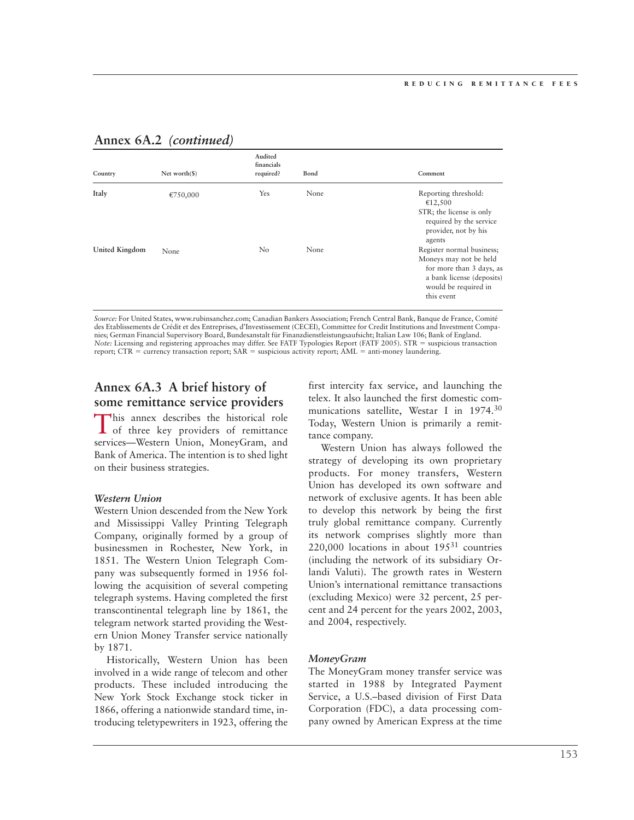| Country        | Net worth $(S)$ | Audited<br>financials<br>required? | Bond | Comment                                                                                                                                            |
|----------------|-----------------|------------------------------------|------|----------------------------------------------------------------------------------------------------------------------------------------------------|
| Italy          | €750,000        | <b>Yes</b>                         | None | Reporting threshold:<br>€12,500                                                                                                                    |
|                |                 |                                    |      | STR; the license is only<br>required by the service<br>provider, not by his<br>agents                                                              |
| United Kingdom | None            | N <sub>0</sub>                     | None | Register normal business;<br>Moneys may not be held<br>for more than 3 days, as<br>a bank license (deposits)<br>would be required in<br>this event |

### **Annex 6A.2** *(continued)*

*Source:* For United States, www.rubinsanchez.com; Canadian Bankers Association; French Central Bank, Banque de France, Comité des Etablissements de Crédit et des Entreprises, d'Investissement (CECEI), Committee for Credit Institutions and Investment Companies; German Financial Supervisory Board, Bundesanstalt für Finanzdienstleistungsaufsicht; Italian Law 106; Bank of England. Note: Licensing and registering approaches may differ. See FATF Typologies Report (FATF 2005). STR = suspicious transaction report; CTR = currency transaction report; SAR = suspicious activity report; AML = anti-money laundering.

## **Annex 6A.3 A brief history of some remittance service providers**

This annex describes the historical role<br>of three key providers of remittance services—Western Union, MoneyGram, and Bank of America. The intention is to shed light on their business strategies.

### *Western Union*

Western Union descended from the New York and Mississippi Valley Printing Telegraph Company, originally formed by a group of businessmen in Rochester, New York, in 1851. The Western Union Telegraph Company was subsequently formed in 1956 following the acquisition of several competing telegraph systems. Having completed the first transcontinental telegraph line by 1861, the telegram network started providing the Western Union Money Transfer service nationally by 1871.

Historically, Western Union has been involved in a wide range of telecom and other products. These included introducing the New York Stock Exchange stock ticker in 1866, offering a nationwide standard time, introducing teletypewriters in 1923, offering the

first intercity fax service, and launching the telex. It also launched the first domestic communications satellite, Westar I in 1974.<sup>30</sup> Today, Western Union is primarily a remittance company.

Western Union has always followed the strategy of developing its own proprietary products. For money transfers, Western Union has developed its own software and network of exclusive agents. It has been able to develop this network by being the first truly global remittance company. Currently its network comprises slightly more than 220,000 locations in about  $195<sup>31</sup>$  countries (including the network of its subsidiary Orlandi Valuti). The growth rates in Western Union's international remittance transactions (excluding Mexico) were 32 percent, 25 percent and 24 percent for the years 2002, 2003, and 2004, respectively.

### *MoneyGram*

The MoneyGram money transfer service was started in 1988 by Integrated Payment Service, a U.S.–based division of First Data Corporation (FDC), a data processing company owned by American Express at the time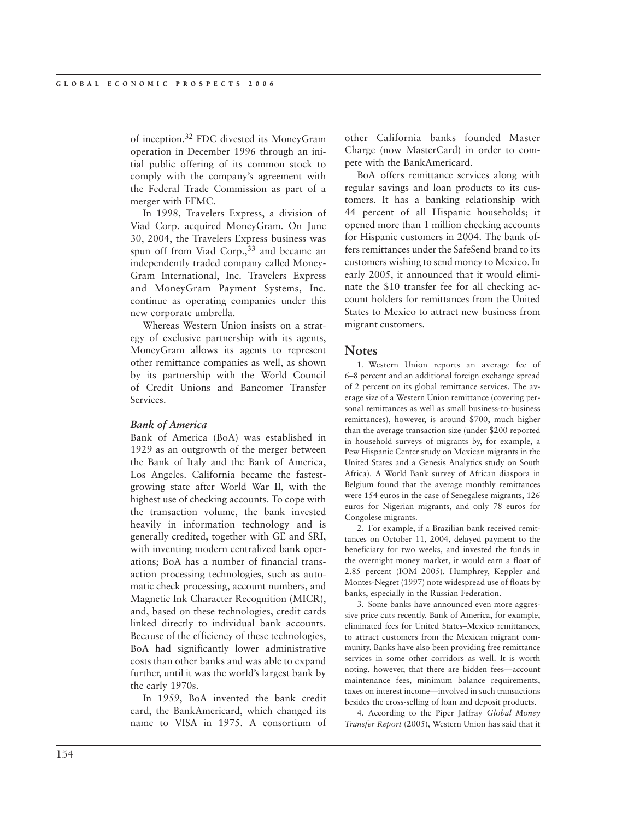of inception.<sup>32</sup> FDC divested its MoneyGram operation in December 1996 through an initial public offering of its common stock to comply with the company's agreement with the Federal Trade Commission as part of a merger with FFMC.

In 1998, Travelers Express, a division of Viad Corp. acquired MoneyGram. On June 30, 2004, the Travelers Express business was spun off from Viad Corp.,  $33$  and became an independently traded company called Money-Gram International, Inc. Travelers Express and MoneyGram Payment Systems, Inc. continue as operating companies under this new corporate umbrella.

Whereas Western Union insists on a strategy of exclusive partnership with its agents, MoneyGram allows its agents to represent other remittance companies as well, as shown by its partnership with the World Council of Credit Unions and Bancomer Transfer Services.

#### *Bank of America*

Bank of America (BoA) was established in 1929 as an outgrowth of the merger between the Bank of Italy and the Bank of America, Los Angeles. California became the fastestgrowing state after World War II, with the highest use of checking accounts. To cope with the transaction volume, the bank invested heavily in information technology and is generally credited, together with GE and SRI, with inventing modern centralized bank operations; BoA has a number of financial transaction processing technologies, such as automatic check processing, account numbers, and Magnetic Ink Character Recognition (MICR), and, based on these technologies, credit cards linked directly to individual bank accounts. Because of the efficiency of these technologies, BoA had significantly lower administrative costs than other banks and was able to expand further, until it was the world's largest bank by the early 1970s.

In 1959, BoA invented the bank credit card, the BankAmericard, which changed its name to VISA in 1975. A consortium of

other California banks founded Master Charge (now MasterCard) in order to compete with the BankAmericard.

BoA offers remittance services along with regular savings and loan products to its customers. It has a banking relationship with 44 percent of all Hispanic households; it opened more than 1 million checking accounts for Hispanic customers in 2004. The bank offers remittances under the SafeSend brand to its customers wishing to send money to Mexico. In early 2005, it announced that it would eliminate the \$10 transfer fee for all checking account holders for remittances from the United States to Mexico to attract new business from migrant customers.

### **Notes**

1. Western Union reports an average fee of 6–8 percent and an additional foreign exchange spread of 2 percent on its global remittance services. The average size of a Western Union remittance (covering personal remittances as well as small business-to-business remittances), however, is around \$700, much higher than the average transaction size (under \$200 reported in household surveys of migrants by, for example, a Pew Hispanic Center study on Mexican migrants in the United States and a Genesis Analytics study on South Africa). A World Bank survey of African diaspora in Belgium found that the average monthly remittances were 154 euros in the case of Senegalese migrants, 126 euros for Nigerian migrants, and only 78 euros for Congolese migrants.

2. For example, if a Brazilian bank received remittances on October 11, 2004, delayed payment to the beneficiary for two weeks, and invested the funds in the overnight money market, it would earn a float of 2.85 percent (IOM 2005). Humphrey, Keppler and Montes-Negret (1997) note widespread use of floats by banks, especially in the Russian Federation.

3. Some banks have announced even more aggressive price cuts recently. Bank of America, for example, eliminated fees for United States–Mexico remittances, to attract customers from the Mexican migrant community. Banks have also been providing free remittance services in some other corridors as well. It is worth noting, however, that there are hidden fees—account maintenance fees, minimum balance requirements, taxes on interest income—involved in such transactions besides the cross-selling of loan and deposit products.

4. According to the Piper Jaffray *Global Money Transfer Report* (2005), Western Union has said that it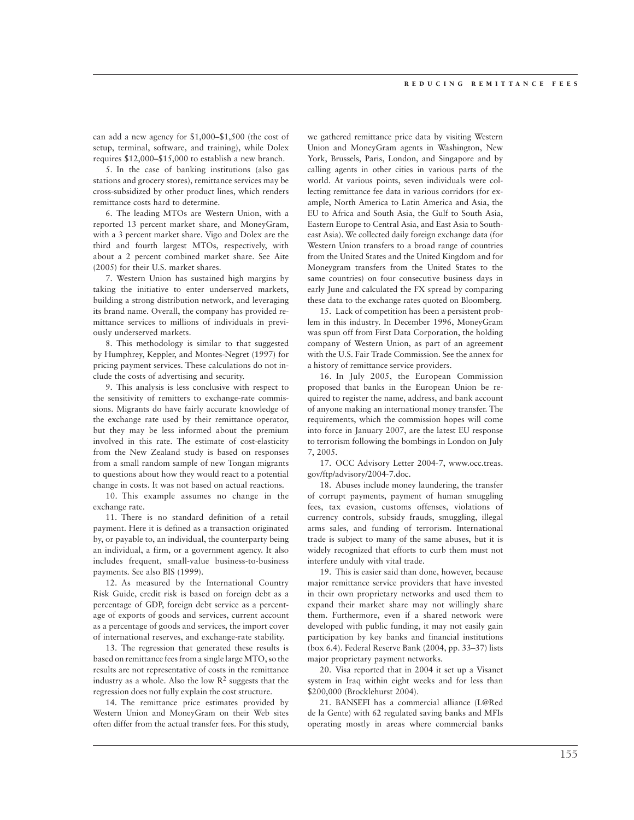can add a new agency for \$1,000–\$1,500 (the cost of setup, terminal, software, and training), while Dolex requires \$12,000–\$15,000 to establish a new branch.

5. In the case of banking institutions (also gas stations and grocery stores), remittance services may be cross-subsidized by other product lines, which renders remittance costs hard to determine.

6. The leading MTOs are Western Union, with a reported 13 percent market share, and MoneyGram, with a 3 percent market share. Vigo and Dolex are the third and fourth largest MTOs, respectively, with about a 2 percent combined market share. See Aite (2005) for their U.S. market shares.

7. Western Union has sustained high margins by taking the initiative to enter underserved markets, building a strong distribution network, and leveraging its brand name. Overall, the company has provided remittance services to millions of individuals in previously underserved markets.

8. This methodology is similar to that suggested by Humphrey, Keppler, and Montes-Negret (1997) for pricing payment services. These calculations do not include the costs of advertising and security.

9. This analysis is less conclusive with respect to the sensitivity of remitters to exchange-rate commissions. Migrants do have fairly accurate knowledge of the exchange rate used by their remittance operator, but they may be less informed about the premium involved in this rate. The estimate of cost-elasticity from the New Zealand study is based on responses from a small random sample of new Tongan migrants to questions about how they would react to a potential change in costs. It was not based on actual reactions.

10. This example assumes no change in the exchange rate.

11. There is no standard definition of a retail payment. Here it is defined as a transaction originated by, or payable to, an individual, the counterparty being an individual, a firm, or a government agency. It also includes frequent, small-value business-to-business payments. See also BIS (1999).

12. As measured by the International Country Risk Guide, credit risk is based on foreign debt as a percentage of GDP, foreign debt service as a percentage of exports of goods and services, current account as a percentage of goods and services, the import cover of international reserves, and exchange-rate stability.

13. The regression that generated these results is based on remittance fees from a single large MTO, so the results are not representative of costs in the remittance industry as a whole. Also the low  $\mathbb{R}^2$  suggests that the regression does not fully explain the cost structure.

14. The remittance price estimates provided by Western Union and MoneyGram on their Web sites often differ from the actual transfer fees. For this study,

we gathered remittance price data by visiting Western Union and MoneyGram agents in Washington, New York, Brussels, Paris, London, and Singapore and by calling agents in other cities in various parts of the world. At various points, seven individuals were collecting remittance fee data in various corridors (for example, North America to Latin America and Asia, the EU to Africa and South Asia, the Gulf to South Asia, Eastern Europe to Central Asia, and East Asia to Southeast Asia). We collected daily foreign exchange data (for Western Union transfers to a broad range of countries from the United States and the United Kingdom and for Moneygram transfers from the United States to the same countries) on four consecutive business days in early June and calculated the FX spread by comparing these data to the exchange rates quoted on Bloomberg.

15. Lack of competition has been a persistent problem in this industry. In December 1996, MoneyGram was spun off from First Data Corporation, the holding company of Western Union, as part of an agreement with the U.S. Fair Trade Commission. See the annex for a history of remittance service providers.

16. In July 2005, the European Commission proposed that banks in the European Union be required to register the name, address, and bank account of anyone making an international money transfer. The requirements, which the commission hopes will come into force in January 2007, are the latest EU response to terrorism following the bombings in London on July 7, 2005.

17. OCC Advisory Letter 2004-7, www.occ.treas. gov/ftp/advisory/2004-7.doc.

18. Abuses include money laundering, the transfer of corrupt payments, payment of human smuggling fees, tax evasion, customs offenses, violations of currency controls, subsidy frauds, smuggling, illegal arms sales, and funding of terrorism. International trade is subject to many of the same abuses, but it is widely recognized that efforts to curb them must not interfere unduly with vital trade.

19. This is easier said than done, however, because major remittance service providers that have invested in their own proprietary networks and used them to expand their market share may not willingly share them. Furthermore, even if a shared network were developed with public funding, it may not easily gain participation by key banks and financial institutions (box 6.4). Federal Reserve Bank (2004, pp. 33–37) lists major proprietary payment networks.

20. Visa reported that in 2004 it set up a Visanet system in Iraq within eight weeks and for less than \$200,000 (Brocklehurst 2004).

21. BANSEFI has a commercial alliance (L@Red de la Gente) with 62 regulated saving banks and MFIs operating mostly in areas where commercial banks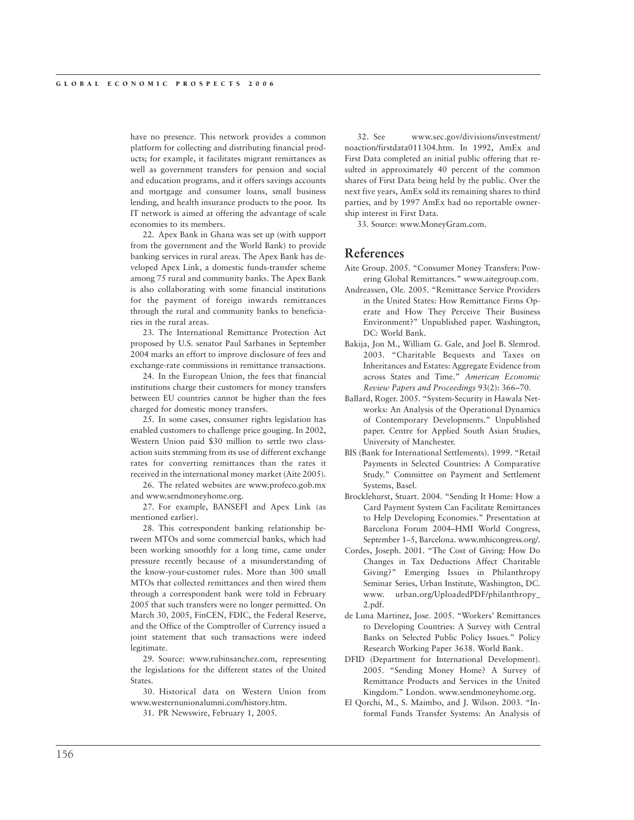have no presence. This network provides a common platform for collecting and distributing financial products; for example, it facilitates migrant remittances as well as government transfers for pension and social and education programs, and it offers savings accounts and mortgage and consumer loans, small business lending, and health insurance products to the poor. Its IT network is aimed at offering the advantage of scale economies to its members.

22. Apex Bank in Ghana was set up (with support from the government and the World Bank) to provide banking services in rural areas. The Apex Bank has developed Apex Link, a domestic funds-transfer scheme among 75 rural and community banks. The Apex Bank is also collaborating with some financial institutions for the payment of foreign inwards remittances through the rural and community banks to beneficiaries in the rural areas.

23. The International Remittance Protection Act proposed by U.S. senator Paul Sarbanes in September 2004 marks an effort to improve disclosure of fees and exchange-rate commissions in remittance transactions.

24. In the European Union, the fees that financial institutions charge their customers for money transfers between EU countries cannot be higher than the fees charged for domestic money transfers.

25. In some cases, consumer rights legislation has enabled customers to challenge price gouging. In 2002, Western Union paid \$30 million to settle two classaction suits stemming from its use of different exchange rates for converting remittances than the rates it received in the international money market (Aite 2005).

26. The related websites are www.profeco.gob.mx and www.sendmoneyhome.org.

27. For example, BANSEFI and Apex Link (as mentioned earlier).

28. This correspondent banking relationship between MTOs and some commercial banks, which had been working smoothly for a long time, came under pressure recently because of a misunderstanding of the know-your-customer rules. More than 300 small MTOs that collected remittances and then wired them through a correspondent bank were told in February 2005 that such transfers were no longer permitted. On March 30, 2005, FinCEN, FDIC, the Federal Reserve, and the Office of the Comptroller of Currency issued a joint statement that such transactions were indeed legitimate.

29. Source: www.rubinsanchez.com, representing the legislations for the different states of the United **States** 

30. Historical data on Western Union from www.westernunionalumni.com/history.htm.

31. PR Newswire, February 1, 2005.

32. See www.sec.gov/divisions/investment/ noaction/firstdata011304.htm. In 1992, AmEx and First Data completed an initial public offering that resulted in approximately 40 percent of the common shares of First Data being held by the public. Over the next five years, AmEx sold its remaining shares to third parties, and by 1997 AmEx had no reportable ownership interest in First Data.

33. Source: www.MoneyGram.com.

### **References**

- Aite Group. 2005. "Consumer Money Transfers: Powering Global Remittances." www.aitegroup.com.
- Andreassen, Ole. 2005. "Remittance Service Providers in the United States: How Remittance Firms Operate and How They Perceive Their Business Environment?" Unpublished paper. Washington, DC: World Bank.
- Bakija, Jon M., William G. Gale, and Joel B. Slemrod. 2003. "Charitable Bequests and Taxes on Inheritances and Estates: Aggregate Evidence from across States and Time." *American Economic Review Papers and Proceedings* 93(2): 366–70.
- Ballard, Roger. 2005. "System-Security in Hawala Networks: An Analysis of the Operational Dynamics of Contemporary Developments." Unpublished paper. Centre for Applied South Asian Studies, University of Manchester.
- BIS (Bank for International Settlements). 1999. "Retail Payments in Selected Countries: A Comparative Study." Committee on Payment and Settlement Systems, Basel.
- Brocklehurst, Stuart. 2004. "Sending It Home: How a Card Payment System Can Facilitate Remittances to Help Developing Economies." Presentation at Barcelona Forum 2004–HMI World Congress, September 1–5, Barcelona. www.mhicongress.org/.
- Cordes, Joseph. 2001. "The Cost of Giving: How Do Changes in Tax Deductions Affect Charitable Giving?" Emerging Issues in Philanthropy Seminar Series, Urban Institute, Washington, DC. www. urban.org/UploadedPDF/philanthropy\_ 2.pdf.
- de Luna Martinez, Jose. 2005. "Workers' Remittances to Developing Countries: A Survey with Central Banks on Selected Public Policy Issues." Policy Research Working Paper 3638. World Bank.
- DFID (Department for International Development). 2005. "Sending Money Home? A Survey of Remittance Products and Services in the United Kingdom." London. www.sendmoneyhome.org.
- El Qorchi, M., S. Maimbo, and J. Wilson. 2003. "Informal Funds Transfer Systems: An Analysis of